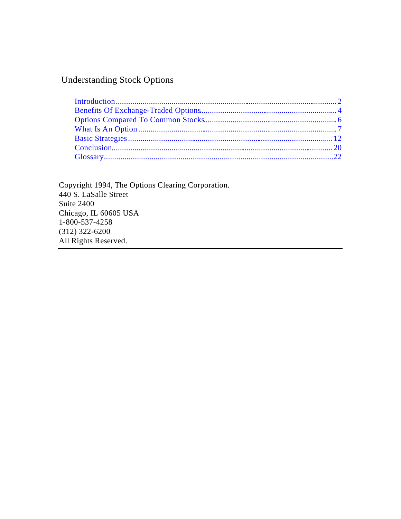# **Understanding Stock Options**

Copyright 1994, The Options Clearing Corporation. 440 S. LaSalle Street Suite 2400 Chicago, IL 60605 USA 1-800-537-4258  $(312)$  322-6200 All Rights Reserved.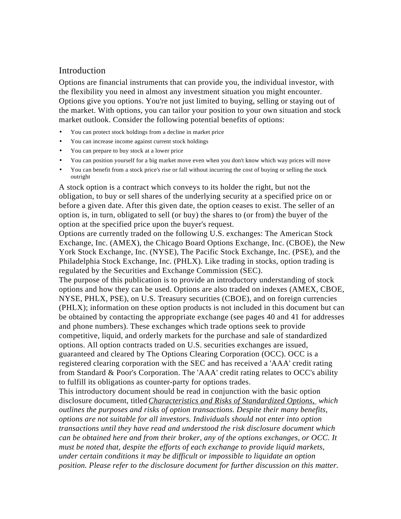# <span id="page-1-0"></span>Introduction

Options are financial instruments that can provide you, the individual investor, with the flexibility you need in almost any investment situation you might encounter. Options give you options. You're not just limited to buying, selling or staying out of the market. With options, you can tailor your position to your own situation and stock market outlook. Consider the following potential benefits of options:

- You can protect stock holdings from a decline in market price
- You can increase income against current stock holdings
- You can prepare to buy stock at a lower price
- You can position yourself for a big market move even when you don't know which way prices will move
- You can benefit from a stock price's rise or fall without incurring the cost of buying or selling the stock outright

A stock option is a contract which conveys to its holder the right, but not the obligation, to buy or sell shares of the underlying security at a specified price on or before a given date. After this given date, the option ceases to exist. The seller of an option is, in turn, obligated to sell (or buy) the shares to (or from) the buyer of the option at the specified price upon the buyer's request.

Options are currently traded on the following U.S. exchanges: The American Stock Exchange, Inc. (AMEX), the Chicago Board Options Exchange, Inc. (CBOE), the New York Stock Exchange, Inc. (NYSE), The Pacific Stock Exchange, Inc. (PSE), and the Philadelphia Stock Exchange, Inc. (PHLX). Like trading in stocks, option trading is regulated by the Securities and Exchange Commission (SEC).

The purpose of this publication is to provide an introductory understanding of stock options and how they can be used. Options are also traded on indexes (AMEX, CBOE, NYSE, PHLX, PSE), on U.S. Treasury securities (CBOE), and on foreign currencies (PHLX); information on these option products is not included in this document but can be obtained by contacting the appropriate exchange (see pages 40 and 41 for addresses and phone numbers). These exchanges which trade options seek to provide competitive, liquid, and orderly markets for the purchase and sale of standardized options. All option contracts traded on U.S. securities exchanges are issued, guaranteed and cleared by The Options Clearing Corporation (OCC). OCC is a registered clearing corporation with the SEC and has received a 'AAA' credit rating from Standard & Poor's Corporation. The 'AAA' credit rating relates to OCC's ability to fulfill its obligations as counter-party for options trades.

This introductory document should be read in conjunction with the basic option disclosure document, titled *Characteristics and Risks of Standardized Options, which outlines the purposes and risks of option transactions. Despite their many benefits, options are not suitable for all investors. Individuals should not enter into option transactions until they have read and understood the risk disclosure document which can be obtained here and from their broker, any of the options exchanges, or OCC. It must be noted that, despite the efforts of each exchange to provide liquid markets, under certain conditions it may be difficult or impossible to liquidate an option position. Please refer to the disclosure document for further discussion on this matter.*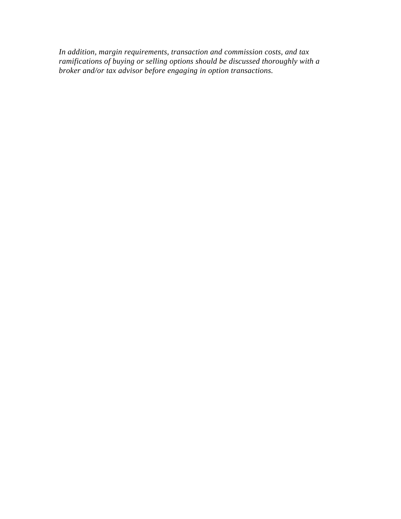*In addition, margin requirements, transaction and commission costs, and tax ramifications of buying or selling options should be discussed thoroughly with a broker and/or tax advisor before engaging in option transactions.*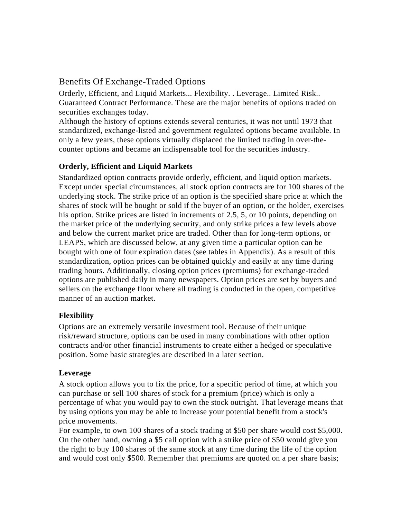# <span id="page-3-0"></span>Benefits Of Exchange-Traded Options

Orderly, Efficient, and Liquid Markets... Flexibility. . Leverage.. Limited Risk.. Guaranteed Contract Performance. These are the major benefits of options traded on securities exchanges today.

Although the history of options extends several centuries, it was not until 1973 that standardized, exchange-listed and government regulated options became available. In only a few years, these options virtually displaced the limited trading in over-thecounter options and became an indispensable tool for the securities industry.

## **Orderly, Efficient and Liquid Markets**

Standardized option contracts provide orderly, efficient, and liquid option markets. Except under special circumstances, all stock option contracts are for 100 shares of the underlying stock. The strike price of an option is the specified share price at which the shares of stock will be bought or sold if the buyer of an option, or the holder, exercises his option. Strike prices are listed in increments of 2.5, 5, or 10 points, depending on the market price of the underlying security, and only strike prices a few levels above and below the current market price are traded. Other than for long-term options, or LEAPS, which are discussed below, at any given time a particular option can be bought with one of four expiration dates (see tables in Appendix). As a result of this standardization, option prices can be obtained quickly and easily at any time during trading hours. Additionally, closing option prices (premiums) for exchange-traded options are published daily in many newspapers. Option prices are set by buyers and sellers on the exchange floor where all trading is conducted in the open, competitive manner of an auction market.

# **Flexibility**

Options are an extremely versatile investment tool. Because of their unique risk/reward structure, options can be used in many combinations with other option contracts and/or other financial instruments to create either a hedged or speculative position. Some basic strategies are described in a later section.

# **Leverage**

A stock option allows you to fix the price, for a specific period of time, at which you can purchase or sell 100 shares of stock for a premium (price) which is only a percentage of what you would pay to own the stock outright. That leverage means that by using options you may be able to increase your potential benefit from a stock's price movements.

For example, to own 100 shares of a stock trading at \$50 per share would cost \$5,000. On the other hand, owning a \$5 call option with a strike price of \$50 would give you the right to buy 100 shares of the same stock at any time during the life of the option and would cost only \$500. Remember that premiums are quoted on a per share basis;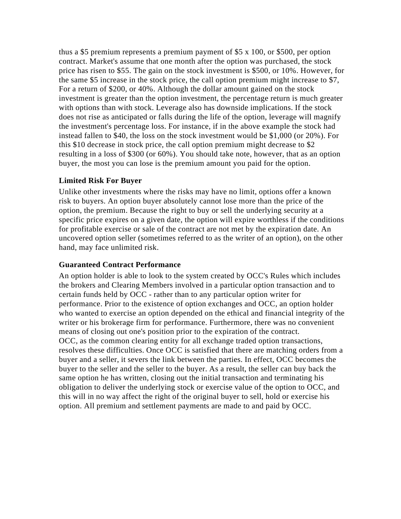thus a \$5 premium represents a premium payment of \$5 x 100, or \$500, per option contract. Market's assume that one month after the option was purchased, the stock price has risen to \$55. The gain on the stock investment is \$500, or 10%. However, for the same \$5 increase in the stock price, the call option premium might increase to \$7, For a return of \$200, or 40%. Although the dollar amount gained on the stock investment is greater than the option investment, the percentage return is much greater with options than with stock. Leverage also has downside implications. If the stock does not rise as anticipated or falls during the life of the option, leverage will magnify the investment's percentage loss. For instance, if in the above example the stock had instead fallen to \$40, the loss on the stock investment would be \$1,000 (or 20%). For this \$10 decrease in stock price, the call option premium might decrease to \$2 resulting in a loss of \$300 (or 60%). You should take note, however, that as an option buyer, the most you can lose is the premium amount you paid for the option.

## **Limited Risk For Buyer**

Unlike other investments where the risks may have no limit, options offer a known risk to buyers. An option buyer absolutely cannot lose more than the price of the option, the premium. Because the right to buy or sell the underlying security at a specific price expires on a given date, the option will expire worthless if the conditions for profitable exercise or sale of the contract are not met by the expiration date. An uncovered option seller (sometimes referred to as the writer of an option), on the other hand, may face unlimited risk.

# **Guaranteed Contract Performance**

An option holder is able to look to the system created by OCC's Rules which includes the brokers and Clearing Members involved in a particular option transaction and to certain funds held by OCC - rather than to any particular option writer for performance. Prior to the existence of option exchanges and OCC, an option holder who wanted to exercise an option depended on the ethical and financial integrity of the writer or his brokerage firm for performance. Furthermore, there was no convenient means of closing out one's position prior to the expiration of the contract. OCC, as the common clearing entity for all exchange traded option transactions, resolves these difficulties. Once OCC is satisfied that there are matching orders from a buyer and a seller, it severs the link between the parties. In effect, OCC becomes the buyer to the seller and the seller to the buyer. As a result, the seller can buy back the same option he has written, closing out the initial transaction and terminating his obligation to deliver the underlying stock or exercise value of the option to OCC, and this will in no way affect the right of the original buyer to sell, hold or exercise his option. All premium and settlement payments are made to and paid by OCC.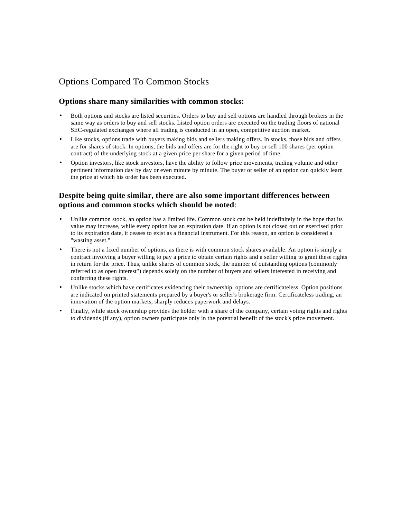# <span id="page-5-0"></span>Options Compared To Common Stocks

#### **Options share many similarities with common stocks:**

- Both options and stocks are listed securities. Orders to buy and sell options are handled through brokers in the same way as orders to buy and sell stocks. Listed option orders are executed on the trading floors of national SEC-regulated exchanges where all trading is conducted in an open, competitive auction market.
- Like stocks, options trade with buyers making bids and sellers making offers. In stocks, those bids and offers are for shares of stock. In options, the bids and offers are for the right to buy or sell 100 shares (per option contract) of the underlying stock at a given price per share for a given period of time.
- Option investors, like stock investors, have the ability to follow price movements, trading volume and other pertinent information day by day or even minute by minute. The buyer or seller of an option can quickly learn the price at which his order has been executed.

#### **Despite being quite similar, there are also some important differences between options and common stocks which should be noted**:

- Unlike common stock, an option has a limited life. Common stock can be held indefinitely in the hope that its value may increase, while every option has an expiration date. If an option is not closed out or exercised prior to its expiration date, it ceases to exist as a financial instrument. For this reason, an option is considered a "wasting asset."
- There is not a fixed number of options, as there is with common stock shares available. An option is simply a contract involving a buyer willing to pay a price to obtain certain rights and a seller willing to grant these rights in return for the price. Thus, unlike shares of common stock, the number of outstanding options (commonly referred to as open interest") depends solely on the number of buyers and sellers interested in receiving and conferring these rights.
- Unlike stocks which have certificates evidencing their ownership, options are certificateless. Option positions are indicated on printed statements prepared by a buyer's or seller's brokerage firm. Certificateless trading, an innovation of the option markets, sharply reduces paperwork and delays.
- Finally, while stock ownership provides the holder with a share of the company, certain voting rights and rights to dividends (if any), option owners participate only in the potential benefit of the stock's price movement.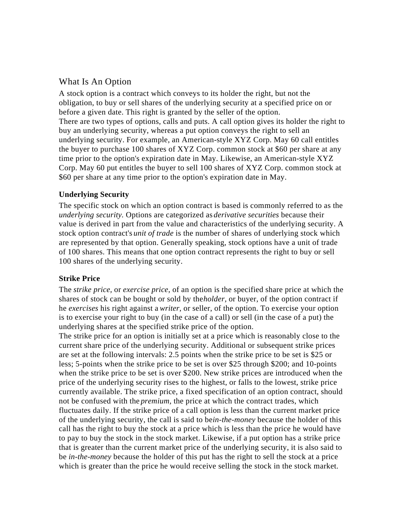## <span id="page-6-0"></span>What Is An Option

A stock option is a contract which conveys to its holder the right, but not the obligation, to buy or sell shares of the underlying security at a specified price on or before a given date. This right is granted by the seller of the option. There are two types of options, calls and puts. A call option gives its holder the right to buy an underlying security, whereas a put option conveys the right to sell an underlying security. For example, an American-style XYZ Corp. May 60 call entitles the buyer to purchase 100 shares of XYZ Corp. common stock at \$60 per share at any time prior to the option's expiration date in May. Likewise, an American-style XYZ Corp. May 60 put entitles the buyer to sell 100 shares of XYZ Corp. common stock at \$60 per share at any time prior to the option's expiration date in May.

#### **Underlying Security**

The specific stock on which an option contract is based is commonly referred to as the *underlying security.* Options are categorized as *derivative securities* because their value is derived in part from the value and characteristics of the underlying security. A stock option contract's *unit of trade* is the number of shares of underlying stock which are represented by that option. Generally speaking, stock options have a unit of trade of 100 shares. This means that one option contract represents the right to buy or sell 100 shares of the underlying security.

## **Strike Price**

The *strike price,* or *exercise price*, of an option is the specified share price at which the shares of stock can be bought or sold by the *holder*, or buyer, of the option contract if he *exercises* his right against a *writer,* or seller, of the option. To exercise your option is to exercise your right to buy (in the case of a call) or sell (in the case of a put) the underlying shares at the specified strike price of the option.

The strike price for an option is initially set at a price which is reasonably close to the current share price of the underlying security. Additional or subsequent strike prices are set at the following intervals: 2.5 points when the strike price to be set is \$25 or less; 5-points when the strike price to be set is over \$25 through \$200; and 10-points when the strike price to be set is over \$200. New strike prices are introduced when the price of the underlying security rises to the highest, or falls to the lowest, strike price currently available. The strike price, a fixed specification of an option contract, should not be confused with the *premium,* the price at which the contract trades, which fluctuates daily. If the strike price of a call option is less than the current market price of the underlying security, the call is said to be *in-the-money* because the holder of this call has the right to buy the stock at a price which is less than the price he would have to pay to buy the stock in the stock market. Likewise, if a put option has a strike price that is greater than the current market price of the underlying security, it is also said to be *in-the-money* because the holder of this put has the right to sell the stock at a price which is greater than the price he would receive selling the stock in the stock market.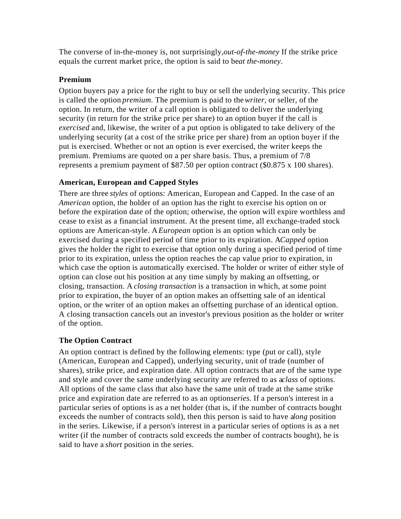The converse of in-the-money is, not surprisingly, *out-of-the-money* If the strike price equals the current market price, the option is said to beat the-money.

## **Premium**

Option buyers pay a price for the right to buy or sell the underlying security. This price is called the option *premium.* The premium is paid to the *writer,* or seller, of the option. In return, the writer of a call option is obligated to deliver the underlying security (in return for the strike price per share) to an option buyer if the call is *exercised* and, likewise, the writer of a put option is obligated to take delivery of the underlying security (at a cost of the strike price per share) from an option buyer if the put is exercised. Whether or not an option is ever exercised, the writer keeps the premium. Premiums are quoted on a per share basis. Thus, a premium of 7/8 represents a premium payment of \$87.50 per option contract (\$0.875 x 100 shares).

# **American, European and Capped Styles**

There are three *styles* of options: American, European and Capped. In the case of an *American* option, the holder of an option has the right to exercise his option on or before the expiration date of the option; otherwise, the option will expire worthless and cease to exist as a financial instrument. At the present time, all exchange-traded stock options are American-style. A *European* option is an option which can only be exercised during a specified period of time prior to its expiration. A *Capped* option gives the holder the right to exercise that option only during a specified period of time prior to its expiration, unless the option reaches the cap value prior to expiration, in which case the option is automatically exercised. The holder or writer of either style of option can close out his position at any time simply by making an offsetting, or closing, transaction. A *closing transaction* is a transaction in which, at some point prior to expiration, the buyer of an option makes an offsetting sale of an identical option, or the writer of an option makes an offsetting purchase of an identical option. A closing transaction cancels out an investor's previous position as the holder or writer of the option.

# **The Option Contract**

An option contract is defined by the following elements: type (put or call), style (American, European and Capped), underlying security, unit of trade (number of shares), strike price, and expiration date. All option contracts that are of the same type and style and cover the same underlying security are referred to as *aclass* of options. All options of the same class that also have the same unit of trade at the same strike price and expiration date are referred to as an option *series*. If a person's interest in a particular series of options is as a net holder (that is, if the number of contracts bought exceeds the number of contracts sold), then this person is said to have *along* position in the series. Likewise, if a person's interest in a particular series of options is as a net writer (if the number of contracts sold exceeds the number of contracts bought), he is said to have a *short* position in the series.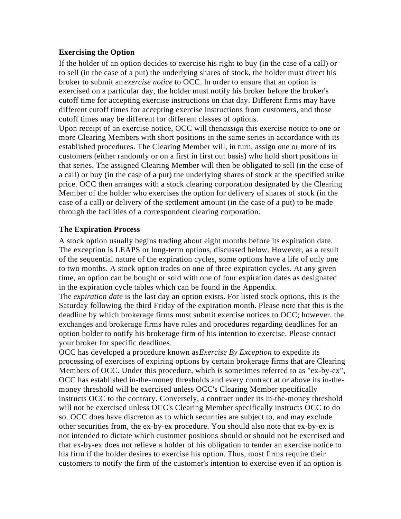#### **Exercising the Option**

If the holder of an option decides to exercise his right to buy (in the case of a call) or to sell (in the case of a put) the underlying shares of stock, the holder must direct his broker to submit an *exercise notice* to OCC. ln order to ensure that an option is exercised on a particular day, the holder must notify his broker before the broker's cutoff time for accepting exercise instructions on that day. Different firms may have different cutoff times for accepting exercise instructions from customers, and those cutoff times may be different for different classes of options.

Upon receipt of an exercise notice, OCC will then*assign* this exercise notice to one or more Clearing Members with short positions in the same series in accordance with its established procedures. The Clearing Member will, in turn, assign one or more of its customers (either randomly or on a first in first out basis) who hold short positions in that series. The assigned Clearing Member will then be obligated to sell (in the case of a call) or buy (in the case of a put) the underlying shares of stock at the specified strike price. OCC then arranges with a stock clearing corporation designated by the Clearing Member of the holder who exercises the option for delivery of shares of stock (in the case of a call) or delivery of the settlement amount (in the case of a put) to be made through the facilities of a correspondent clearing corporation.

#### **The Expiration Process**

A stock option usually begins trading about eight months before its expiration date. The exception is LEAPS or long-term options, discussed below. However, as a result of the sequential nature of the expiration cycles, some options have a life of only one to two months. A stock option trades on one of three expiration cycles. At any given time, an option can be bought or sold with one of four expiration dates as designated in the expiration cycle tables which can be found in the Appendix.

The *expiration date* is the last day an option exists. For listed stock options, this is the Saturday following the third Friday of the expiration month. Please note that this is the deadline by which brokerage firms must submit exercise notices to OCC; however, the exchanges and brokerage firms have rules and procedures regarding deadlines for an option holder to notify his brokerage firm of his intention to exercise. Please contact your broker for specific deadlines.

OCC has developed a procedure known as *Exercise By Exception* to expedite its processing of exercises of expiring options by certain brokerage firms that are Clearing Members of OCC. Under this procedure, which is sometimes referred to as "ex-by-ex", OCC has established in-the-money thresholds and every contract at or above its in-themoney threshold will be exercised unless OCC's Clearing Member specifically instructs OCC to the contrary. Conversely, a contract under its in-the-money threshold will not be exercised unless OCC's Clearing Member specifically instructs OCC to do so. OCC does have discreton as to which securities are subject to, and may exclude other securities from, the ex-by-ex procedure. You should also note that ex-by-ex is not intended to dictate which customer positions should or should not he exercised and that ex-by-ex does not relieve a holder of his obligation to tender an exercise notice to his firm if the holder desires to exercise his option. Thus, most firms require their customers to notify the firm of the customer's intention to exercise even if an option is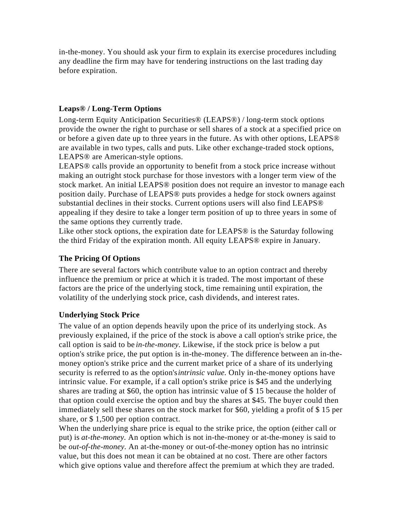in-the-money. You should ask your firm to explain its exercise procedures including any deadline the firm may have for tendering instructions on the last trading day before expiration.

## **Leaps® / Long-Term Options**

Long-term Equity Anticipation Securities® (LEAPS®) / long-term stock options provide the owner the right to purchase or sell shares of a stock at a specified price on or before a given date up to three years in the future. As with other options, LEAPS® are available in two types, calls and puts. Like other exchange-traded stock options, LEAPS® are American-style options.

LEAPS® calls provide an opportunity to benefit from a stock price increase without making an outright stock purchase for those investors with a longer term view of the stock market. An initial LEAPS® position does not require an investor to manage each position daily. Purchase of LEAPS® puts provides a hedge for stock owners against substantial declines in their stocks. Current options users will also find LEAPS® appealing if they desire to take a longer term position of up to three years in some of the same options they currently trade.

Like other stock options, the expiration date for LEAPS® is the Saturday following the third Friday of the expiration month. All equity LEAPS® expire in January.

#### **The Pricing Of Options**

There are several factors which contribute value to an option contract and thereby influence the premium or price at which it is traded. The most important of these factors are the price of the underlying stock, time remaining until expiration, the volatility of the underlying stock price, cash dividends, and interest rates.

## **Underlying Stock Price**

The value of an option depends heavily upon the price of its underlying stock. As previously explained, if the price of the stock is above a call option's strike price, the call option is said to be *in-the-money.* Likewise, if the stock price is below a put option's strike price, the put option is in-the-money. The difference between an in-themoney option's strike price and the current market price of a share of its underlying security is referred to as the option's *intrinsic value.* Only in-the-money options have intrinsic value. For example, if a call option's strike price is \$45 and the underlying shares are trading at \$60, the option has intrinsic value of \$ 15 because the holder of that option could exercise the option and buy the shares at \$45. The buyer could then immediately sell these shares on the stock market for \$60, yielding a profit of \$ 15 per share, or  $$ 1,500$  per option contract.

When the underlying share price is equal to the strike price, the option (either call or put) is *at-the-money.* An option which is not in-the-money or at-the-money is said to be *out-of-the-money.* An at-the-money or out-of-the-money option has no intrinsic value, but this does not mean it can be obtained at no cost. There are other factors which give options value and therefore affect the premium at which they are traded.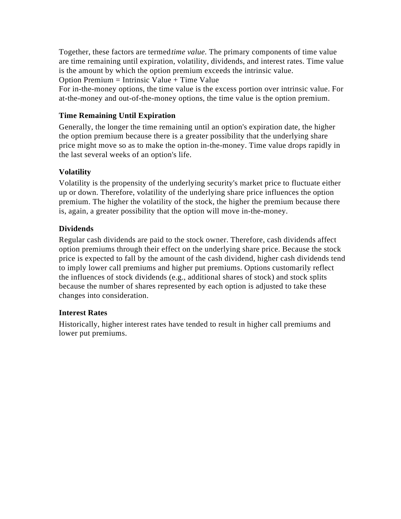Together, these factors are termed *time value.* The primary components of time value are time remaining until expiration, volatility, dividends, and interest rates. Time value is the amount by which the option premium exceeds the intrinsic value.

Option Premium = Intrinsic Value + Time Value

For in-the-money options, the time value is the excess portion over intrinsic value. For at-the-money and out-of-the-money options, the time value is the option premium.

## **Time Remaining Until Expiration**

Generally, the longer the time remaining until an option's expiration date, the higher the option premium because there is a greater possibility that the underlying share price might move so as to make the option in-the-money. Time value drops rapidly in the last several weeks of an option's life.

# **Volatility**

Volatility is the propensity of the underlying security's market price to fluctuate either up or down. Therefore, volatility of the underlying share price influences the option premium. The higher the volatility of the stock, the higher the premium because there is, again, a greater possibility that the option will move in-the-money.

## **Dividends**

Regular cash dividends are paid to the stock owner. Therefore, cash dividends affect option premiums through their effect on the underlying share price. Because the stock price is expected to fall by the amount of the cash dividend, higher cash dividends tend to imply lower call premiums and higher put premiums. Options customarily reflect the influences of stock dividends (e.g., additional shares of stock) and stock splits because the number of shares represented by each option is adjusted to take these changes into consideration.

## **Interest Rates**

Historically, higher interest rates have tended to result in higher call premiums and lower put premiums.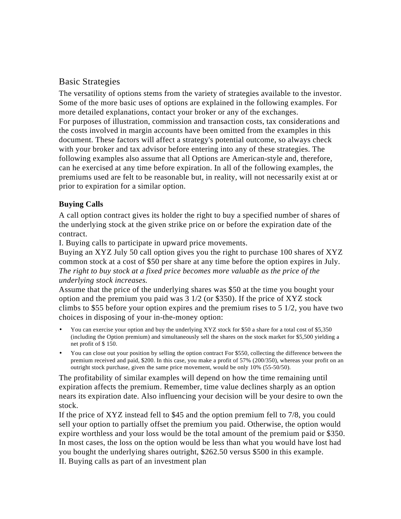# <span id="page-11-0"></span>Basic Strategies

The versatility of options stems from the variety of strategies available to the investor. Some of the more basic uses of options are explained in the following examples. For more detailed explanations, contact your broker or any of the exchanges. For purposes of illustration, commission and transaction costs, tax considerations and the costs involved in margin accounts have been omitted from the examples in this document. These factors will affect a strategy's potential outcome, so always check with your broker and tax advisor before entering into any of these strategies. The following examples also assume that all Options are American-style and, therefore, can he exercised at any time before expiration. In all of the following examples, the premiums used are felt to be reasonable but, in reality, will not necessarily exist at or prior to expiration for a similar option.

# **Buying Calls**

A call option contract gives its holder the right to buy a specified number of shares of the underlying stock at the given strike price on or before the expiration date of the contract.

I. Buying calls to participate in upward price movements.

Buying an XYZ July 50 call option gives you the right to purchase 100 shares of XYZ common stock at a cost of \$50 per share at any time before the option expires in July. *The right to buy stock at a fixed price becomes more valuable as the price of the underlying stock increases.*

Assume that the price of the underlying shares was \$50 at the time you bought your option and the premium you paid was 3 1/2 (or \$350). If the price of XYZ stock climbs to \$55 before your option expires and the premium rises to 5 1/2, you have two choices in disposing of your in-the-money option:

- You can exercise your option and buy the underlying XYZ stock for \$50 a share for a total cost of \$5,350 (including the Option premium) and simultaneously sell the shares on the stock market for \$5,500 yielding a net profit of \$ 150.
- You can close out your position by selling the option contract For \$550, collecting the difference between the premium received and paid, \$200. In this case, you make a profit of 57% (200/350), whereas your profit on an outright stock purchase, given the same price movement, would be only 10% (55-50/50).

The profitability of similar examples will depend on how the time remaining until expiration affects the premium. Remember, time value declines sharply as an option nears its expiration date. Also influencing your decision will be your desire to own the stock.

If the price of XYZ instead fell to \$45 and the option premium fell to 7/8, you could sell your option to partially offset the premium you paid. Otherwise, the option would expire worthless and your loss would be the total amount of the premium paid or \$350. In most cases, the loss on the option would be less than what you would have lost had you bought the underlying shares outright, \$262.50 versus \$500 in this example. II. Buying calls as part of an investment plan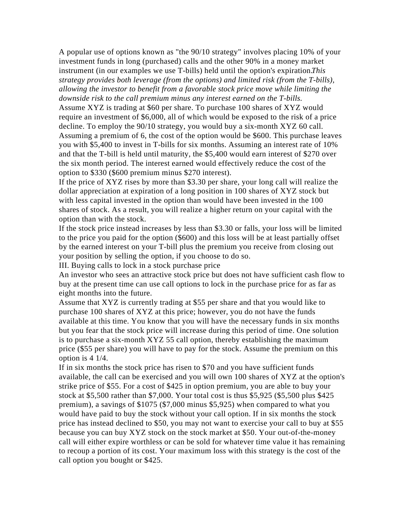A popular use of options known as "the 90/10 strategy" involves placing 10% of your investment funds in long (purchased) calls and the other 90% in a money market instrument (in our examples we use T-bills) held until the option's expiration. *This strategy provides both leverage (from the options) and limited risk (from the T-bills), allowing the investor to benefit from a favorable stock price move while limiting the downside risk to the call premium minus any interest earned on the T-bills.*

Assume XYZ is trading at \$60 per share. To purchase 100 shares of XYZ would require an investment of \$6,000, all of which would be exposed to the risk of a price decline. To employ the 90/10 strategy, you would buy a six-month XYZ 60 call. Assuming a premium of 6, the cost of the option would be \$600. This purchase leaves you with \$5,400 to invest in T-bills for six months. Assuming an interest rate of 10% and that the T-bill is held until maturity, the \$5,400 would earn interest of \$270 over the six month period. The interest earned would effectively reduce the cost of the option to \$330 (\$600 premium minus \$270 interest).

If the price of XYZ rises by more than \$3.30 per share, your long call will realize the dollar appreciation at expiration of a long position in 100 shares of XYZ stock but with less capital invested in the option than would have been invested in the 100 shares of stock. As a result, you will realize a higher return on your capital with the option than with the stock.

If the stock price instead increases by less than \$3.30 or falls, your loss will be limited to the price you paid for the option (\$600) and this loss will be at least partially offset by the earned interest on your T-bill plus the premium you receive from closing out your position by selling the option, if you choose to do so.

III. Buying calls to lock in a stock purchase price

An investor who sees an attractive stock price but does not have sufficient cash flow to buy at the present time can use call options to lock in the purchase price for as far as eight months into the future.

Assume that XYZ is currently trading at \$55 per share and that you would like to purchase 100 shares of XYZ at this price; however, you do not have the funds available at this time. You know that you will have the necessary funds in six months but you fear that the stock price will increase during this period of time. One solution is to purchase a six-month XYZ 55 call option, thereby establishing the maximum price (\$55 per share) you will have to pay for the stock. Assume the premium on this option is 4 1/4.

If in six months the stock price has risen to \$70 and you have sufficient funds available, the call can be exercised and you will own 100 shares of XYZ at the option's strike price of \$55. For a cost of \$425 in option premium, you are able to buy your stock at \$5,500 rather than \$7,000. Your total cost is thus \$5,925 (\$5,500 plus \$425 premium), a savings of \$1075 (\$7,000 minus \$5,925) when compared to what you would have paid to buy the stock without your call option. If in six months the stock price has instead declined to \$50, you may not want to exercise your call to buy at \$55 because you can buy XYZ stock on the stock market at \$50. Your out-of-the-money call will either expire worthless or can be sold for whatever time value it has remaining to recoup a portion of its cost. Your maximum loss with this strategy is the cost of the call option you bought or \$425.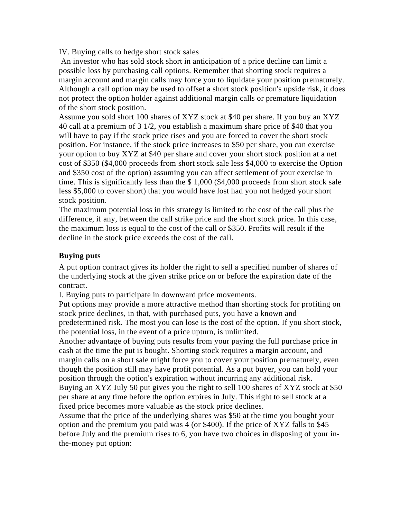IV. Buying calls to hedge short stock sales

 An investor who has sold stock short in anticipation of a price decline can limit a possible loss by purchasing call options. Remember that shorting stock requires a margin account and margin calls may force you to liquidate your position prematurely. Although a call option may be used to offset a short stock position's upside risk, it does not protect the option holder against additional margin calls or premature liquidation of the short stock position.

Assume you sold short 100 shares of XYZ stock at \$40 per share. If you buy an XYZ 40 call at a premium of 3 1/2, you establish a maximum share price of \$40 that you will have to pay if the stock price rises and you are forced to cover the short stock position. For instance, if the stock price increases to \$50 per share, you can exercise your option to buy XYZ at \$40 per share and cover your short stock position at a net cost of \$350 (\$4,000 proceeds from short stock sale less \$4,000 to exercise the Option and \$350 cost of the option) assuming you can affect settlement of your exercise in time. This is significantly less than the \$ 1,000 (\$4,000 proceeds from short stock sale less \$5,000 to cover short) that you would have lost had you not hedged your short stock position.

The maximum potential loss in this strategy is limited to the cost of the call plus the difference, if any, between the call strike price and the short stock price. In this case, the maximum loss is equal to the cost of the call or \$350. Profits will result if the decline in the stock price exceeds the cost of the call.

#### **Buying puts**

A put option contract gives its holder the right to sell a specified number of shares of the underlying stock at the given strike price on or before the expiration date of the contract.

I. Buying puts to participate in downward price movements.

Put options may provide a more attractive method than shorting stock for profiting on stock price declines, in that, with purchased puts, you have a known and predetermined risk. The most you can lose is the cost of the option. If you short stock, the potential loss, in the event of a price upturn, is unlimited.

Another advantage of buying puts results from your paying the full purchase price in cash at the time the put is bought. Shorting stock requires a margin account, and margin calls on a short sale might force you to cover your position prematurely, even though the position still may have profit potential. As a put buyer, you can hold your position through the option's expiration without incurring any additional risk.

Buying an XYZ July 50 put gives you the right to sell 100 shares of XYZ stock at \$50 per share at any time before the option expires in July. This right to sell stock at a fixed price becomes more valuable as the stock price declines.

Assume that the price of the underlying shares was \$50 at the time you bought your option and the premium you paid was 4 (or \$400). If the price of XYZ falls to \$45 before July and the premium rises to 6, you have two choices in disposing of your inthe-money put option: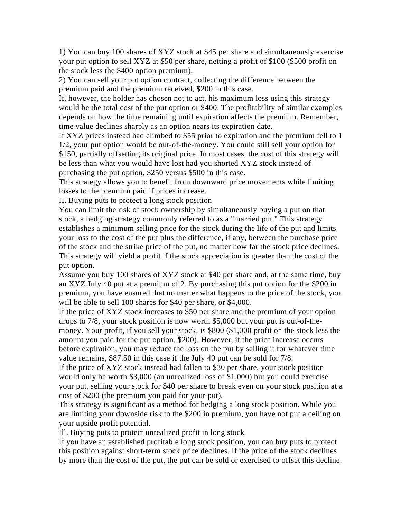1) You can buy 100 shares of XYZ stock at \$45 per share and simultaneously exercise your put option to sell XYZ at \$50 per share, netting a profit of \$100 (\$500 profit on the stock less the \$400 option premium).

2) You can sell your put option contract, collecting the difference between the premium paid and the premium received, \$200 in this case.

If, however, the holder has chosen not to act, his maximum loss using this strategy would be the total cost of the put option or \$400. The profitability of similar examples depends on how the time remaining until expiration affects the premium. Remember, time value declines sharply as an option nears its expiration date.

If XYZ prices instead had climbed to \$55 prior to expiration and the premium fell to 1 1/2, your put option would be out-of-the-money. You could still sell your option for \$150, partially offsetting its original price. In most cases, the cost of this strategy will be less than what you would have lost had you shorted XYZ stock instead of purchasing the put option, \$250 versus \$500 in this case.

This strategy allows you to benefit from downward price movements while limiting losses to the premium paid if prices increase.

II. Buying puts to protect a long stock position

You can limit the risk of stock ownership by simultaneously buying a put on that stock, a hedging strategy commonly referred to as a "married put." This strategy establishes a minimum selling price for the stock during the life of the put and limits your loss to the cost of the put plus the difference, if any, between the purchase price of the stock and the strike price of the put, no matter how far the stock price declines. This strategy will yield a profit if the stock appreciation is greater than the cost of the put option.

Assume you buy 100 shares of XYZ stock at \$40 per share and, at the same time, buy an XYZ July 40 put at a premium of 2. By purchasing this put option for the \$200 in premium, you have ensured that no matter what happens to the price of the stock, you will be able to sell 100 shares for \$40 per share, or \$4,000.

If the price of XYZ stock increases to \$50 per share and the premium of your option drops to 7/8, your stock position is now worth \$5,000 but your put is out-of-themoney. Your profit, if you sell your stock, is \$800 (\$1,000 profit on the stock less the amount you paid for the put option, \$200). However, if the price increase occurs before expiration, you may reduce the loss on the put by selling it for whatever time value remains, \$87.50 in this case if the July 40 put can be sold for 7/8.

If the price of XYZ stock instead had fallen to \$30 per share, your stock position would only be worth \$3,000 (an unrealized loss of \$1,000) but you could exercise your put, selling your stock for \$40 per share to break even on your stock position at a cost of \$200 (the premium you paid for your put).

This strategy is significant as a method for hedging a long stock position. While you are limiting your downside risk to the \$200 in premium, you have not put a ceiling on your upside profit potential.

Ill. Buying puts to protect unrealized profit in long stock

If you have an established profitable long stock position, you can buy puts to protect this position against short-term stock price declines. If the price of the stock declines by more than the cost of the put, the put can be sold or exercised to offset this decline.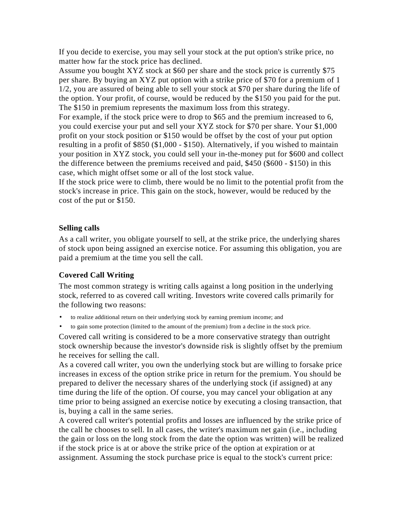If you decide to exercise, you may sell your stock at the put option's strike price, no matter how far the stock price has declined.

Assume you bought XYZ stock at \$60 per share and the stock price is currently \$75 per share. By buying an XYZ put option with a strike price of \$70 for a premium of 1 1/2, you are assured of being able to sell your stock at \$70 per share during the life of the option. Your profit, of course, would be reduced by the \$150 you paid for the put. The \$150 in premium represents the maximum loss from this strategy.

For example, if the stock price were to drop to \$65 and the premium increased to 6, you could exercise your put and sell your XYZ stock for \$70 per share. Your \$1,000 profit on your stock position or \$150 would be offset by the cost of your put option resulting in a profit of \$850 (\$1,000 - \$150). Alternatively, if you wished to maintain your position in XYZ stock, you could sell your in-the-money put for \$600 and collect the difference between the premiums received and paid, \$450 (\$600 - \$150) in this case, which might offset some or all of the lost stock value.

If the stock price were to climb, there would be no limit to the potential profit from the stock's increase in price. This gain on the stock, however, would be reduced by the cost of the put or \$150.

## **Selling calls**

As a call writer, you obligate yourself to sell, at the strike price, the underlying shares of stock upon being assigned an exercise notice. For assuming this obligation, you are paid a premium at the time you sell the call.

# **Covered Call Writing**

The most common strategy is writing calls against a long position in the underlying stock, referred to as covered call writing. Investors write covered calls primarily for the following two reasons:

- to realize additional return on their underlying stock by earning premium income; and
- to gain some protection (limited to the amount of the premium) from a decline in the stock price.

Covered call writing is considered to be a more conservative strategy than outright stock ownership because the investor's downside risk is slightly offset by the premium he receives for selling the call.

As a covered call writer, you own the underlying stock but are willing to forsake price increases in excess of the option strike price in return for the premium. You should be prepared to deliver the necessary shares of the underlying stock (if assigned) at any time during the life of the option. Of course, you may cancel your obligation at any time prior to being assigned an exercise notice by executing a closing transaction, that is, buying a call in the same series.

A covered call writer's potential profits and losses are influenced by the strike price of the call he chooses to sell. In all cases, the writer's maximum net gain (i.e., including the gain or loss on the long stock from the date the option was written) will be realized if the stock price is at or above the strike price of the option at expiration or at assignment. Assuming the stock purchase price is equal to the stock's current price: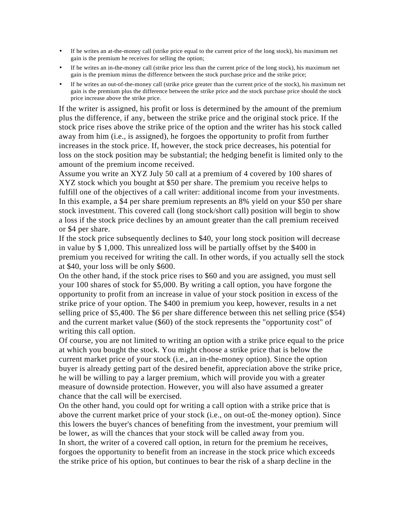- If he writes an at-the-money call (strike price equal to the current price of the long stock), his maximum net gain is the premium he receives for selling the option;
- If he writes an in-the-money call (strike price less than the current price of the long stock), his maximum net gain is the premium minus the difference between the stock purchase price and the strike price;
- If he writes an out-of-the-money call (strike price greater than the current price of the stock), his maximum net gain is the premium plus the difference between the strike price and the stock purchase price should the stock price increase above the strike price.

If the writer is assigned, his profit or loss is determined by the amount of the premium plus the difference, if any, between the strike price and the original stock price. If the stock price rises above the strike price of the option and the writer has his stock called away from him (i.e., is assigned), he forgoes the opportunity to profit from further increases in the stock price. If, however, the stock price decreases, his potential for loss on the stock position may be substantial; the hedging benefit is limited only to the amount of the premium income received.

Assume you write an XYZ July 50 call at a premium of 4 covered by 100 shares of XYZ stock which you bought at \$50 per share. The premium you receive helps to fulfill one of the objectives of a call writer: additional income from your investments. In this example, a \$4 per share premium represents an 8% yield on your \$50 per share stock investment. This covered call (long stock/short call) position will begin to show a loss if the stock price declines by an amount greater than the call premium received or \$4 per share.

If the stock price subsequently declines to \$40, your long stock position will decrease in value by \$ 1,000. This unrealized loss will be partially offset by the \$400 in premium you received for writing the call. In other words, if you actually sell the stock at \$40, your loss will be only \$600.

On the other hand, if the stock price rises to \$60 and you are assigned, you must sell your 100 shares of stock for \$5,000. By writing a call option, you have forgone the opportunity to profit from an increase in value of your stock position in excess of the strike price of your option. The \$400 in premium you keep, however, results in a net selling price of \$5,400. The \$6 per share difference between this net selling price (\$54) and the current market value (\$60) of the stock represents the "opportunity cost" of writing this call option.

Of course, you are not limited to writing an option with a strike price equal to the price at which you bought the stock. You might choose a strike price that is below the current market price of your stock (i.e., an in-the-money option). Since the option buyer is already getting part of the desired benefit, appreciation above the strike price, he will be willing to pay a larger premium, which will provide you with a greater measure of downside protection. However, you will also have assumed a greater chance that the call will be exercised.

On the other hand, you could opt for writing a call option with a strike price that is above the current market price of your stock (i.e., on out-o£ the-money option). Since this lowers the buyer's chances of benefiting from the investment, your premium will be lower, as will the chances that your stock will be called away from you. In short, the writer of a covered call option, in return for the premium he receives,

forgoes the opportunity to benefit from an increase in the stock price which exceeds the strike price of his option, but continues to bear the risk of a sharp decline in the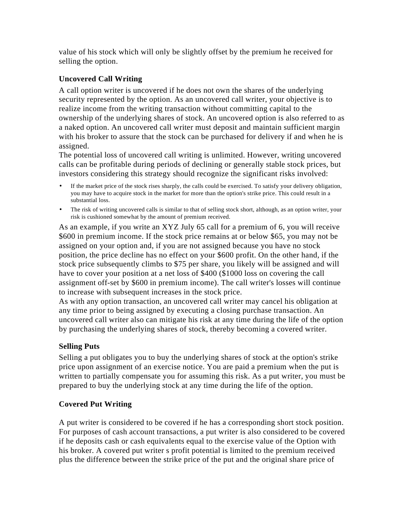value of his stock which will only be slightly offset by the premium he received for selling the option.

## **Uncovered Call Writing**

A call option writer is uncovered if he does not own the shares of the underlying security represented by the option. As an uncovered call writer, your objective is to realize income from the writing transaction without committing capital to the ownership of the underlying shares of stock. An uncovered option is also referred to as a naked option. An uncovered call writer must deposit and maintain sufficient margin with his broker to assure that the stock can be purchased for delivery if and when he is assigned.

The potential loss of uncovered call writing is unlimited. However, writing uncovered calls can be profitable during periods of declining or generally stable stock prices, but investors considering this strategy should recognize the significant risks involved:

- If the market price of the stock rises sharply, the calls could be exercised. To satisfy your delivery obligation, you may have to acquire stock in the market for more than the option's strike price. This could result in a substantial loss.
- The risk of writing uncovered calls is similar to that of selling stock short, although, as an option writer, your risk is cushioned somewhat by the amount of premium received.

As an example, if you write an XYZ July 65 call for a premium of 6, you will receive \$600 in premium income. If the stock price remains at or below \$65, you may not be assigned on your option and, if you are not assigned because you have no stock position, the price decline has no effect on your \$600 profit. On the other hand, if the stock price subsequently climbs to \$75 per share, you likely will be assigned and will have to cover your position at a net loss of \$400 (\$1000 loss on covering the call assignment off-set by \$600 in premium income). The call writer's losses will continue to increase with subsequent increases in the stock price.

As with any option transaction, an uncovered call writer may cancel his obligation at any time prior to being assigned by executing a closing purchase transaction. An uncovered call writer also can mitigate his risk at any time during the life of the option by purchasing the underlying shares of stock, thereby becoming a covered writer.

# **Selling Puts**

Selling a put obligates you to buy the underlying shares of stock at the option's strike price upon assignment of an exercise notice. You are paid a premium when the put is written to partially compensate you for assuming this risk. As a put writer, you must be prepared to buy the underlying stock at any time during the life of the option.

## **Covered Put Writing**

A put writer is considered to be covered if he has a corresponding short stock position. For purposes of cash account transactions, a put writer is also considered to be covered if he deposits cash or cash equivalents equal to the exercise value of the Option with his broker. A covered put writer s profit potential is limited to the premium received plus the difference between the strike price of the put and the original share price of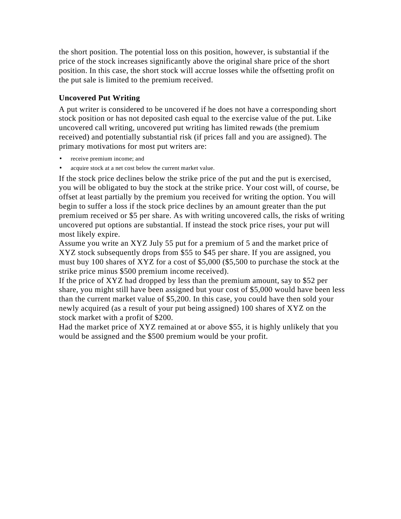the short position. The potential loss on this position, however, is substantial if the price of the stock increases significantly above the original share price of the short position. In this case, the short stock will accrue losses while the offsetting profit on the put sale is limited to the premium received.

## **Uncovered Put Writing**

A put writer is considered to be uncovered if he does not have a corresponding short stock position or has not deposited cash equal to the exercise value of the put. Like uncovered call writing, uncovered put writing has limited rewads (the premium received) and potentially substantial risk (if prices fall and you are assigned). The primary motivations for most put writers are:

- receive premium income; and
- acquire stock at a net cost below the current market value.

If the stock price declines below the strike price of the put and the put is exercised, you will be obligated to buy the stock at the strike price. Your cost will, of course, be offset at least partially by the premium you received for writing the option. You will begin to suffer a loss if the stock price declines by an amount greater than the put premium received or \$5 per share. As with writing uncovered calls, the risks of writing uncovered put options are substantial. If instead the stock price rises, your put will most likely expire.

Assume you write an XYZ July 55 put for a premium of 5 and the market price of XYZ stock subsequently drops from \$55 to \$45 per share. If you are assigned, you must buy 100 shares of XYZ for a cost of \$5,000 (\$5,500 to purchase the stock at the strike price minus \$500 premium income received).

If the price of XYZ had dropped by less than the premium amount, say to \$52 per share, you might still have been assigned but your cost of \$5,000 would have been less than the current market value of \$5,200. In this case, you could have then sold your newly acquired (as a result of your put being assigned) 100 shares of XYZ on the stock market with a profit of \$200.

Had the market price of XYZ remained at or above \$55, it is highly unlikely that you would be assigned and the \$500 premium would be your profit.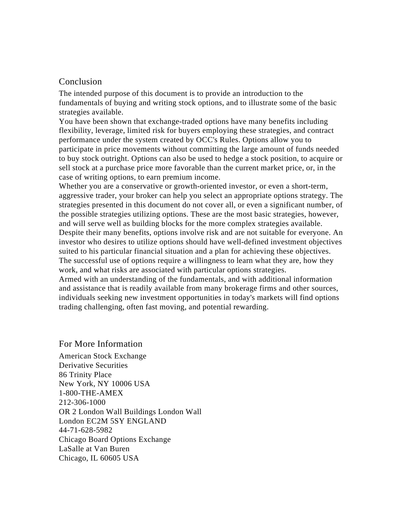## <span id="page-19-0"></span>Conclusion

The intended purpose of this document is to provide an introduction to the fundamentals of buying and writing stock options, and to illustrate some of the basic strategies available.

You have been shown that exchange-traded options have many benefits including flexibility, leverage, limited risk for buyers employing these strategies, and contract performance under the system created by OCC's Rules. Options allow you to participate in price movements without committing the large amount of funds needed to buy stock outright. Options can also be used to hedge a stock position, to acquire or sell stock at a purchase price more favorable than the current market price, or, in the case of writing options, to earn premium income.

Whether you are a conservative or growth-oriented investor, or even a short-term, aggressive trader, your broker can help you select an appropriate options strategy. The strategies presented in this document do not cover all, or even a significant number, of the possible strategies utilizing options. These are the most basic strategies, however, and will serve well as building blocks for the more complex strategies available. Despite their many benefits, options involve risk and are not suitable for everyone. An investor who desires to utilize options should have well-defined investment objectives suited to his particular financial situation and a plan for achieving these objectives. The successful use of options require a willingness to learn what they are, how they work, and what risks are associated with particular options strategies.

Armed with an understanding of the fundamentals, and with additional information and assistance that is readily available from many brokerage firms and other sources, individuals seeking new investment opportunities in today's markets will find options trading challenging, often fast moving, and potential rewarding.

#### For More Information

American Stock Exchange Derivative Securities 86 Trinity Place New York, NY 10006 USA 1-800-THE-AMEX 212-306-1000 OR 2 London Wall Buildings London Wall London EC2M 5SY ENGLAND 44-71-628-5982 Chicago Board Options Exchange LaSalle at Van Buren Chicago, IL 60605 USA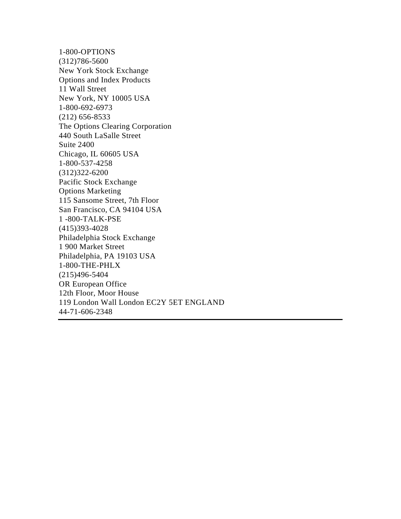1-800-OPTIONS (312)786-5600 New York Stock Exchange Options and Index Products 11 Wall Street New York, NY 10005 USA 1-800-692-6973 (212) 656-8533 The Options Clearing Corporation 440 South LaSalle Street Suite 2400 Chicago, IL 60605 USA 1-800-537-4258 (312)322-6200 Pacific Stock Exchange Options Marketing 115 Sansome Street, 7th Floor San Francisco, CA 94104 USA 1 -800-TALK-PSE (415)393-4028 Philadelphia Stock Exchange 1 900 Market Street Philadelphia, PA 19103 USA 1-800-THE-PHLX (215)496-5404 OR European Office 12th Floor, Moor House 119 London Wall London EC2Y 5ET ENGLAND 44-71-606-2348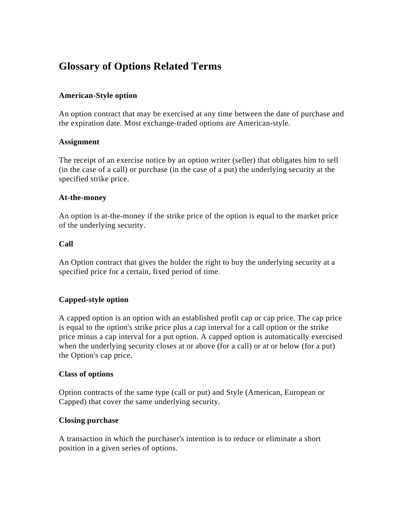# <span id="page-21-0"></span>**Glossary of Options Related Terms**

#### **American-Style option**

An option contract that may be exercised at any time between the date of purchase and the expiration date. Most exchange-traded options are American-style.

#### **Assignment**

The receipt of an exercise notice by an option writer (seller) that obligates him to sell (in the case of a call) or purchase (in the case of a put) the underlying security at the specified strike price.

#### **At-the-money**

An option is at-the-money if the strike price of the option is equal to the market price of the underlying security.

#### **Call**

An Option contract that gives the holder the right to buy the underlying security at a specified price for a certain, fixed period of time.

## **Capped-style option**

A capped option is an option with an established profit cap or cap price. The cap price is equal to the option's strike price plus a cap interval for a call option or the strike price minus a cap interval for a put option. A capped option is automatically exercised when the underlying security closes at or above (for a call) or at or below (for a put) the Option's cap price.

#### **Class of options**

Option contracts of the same type (call or put) and Style (American, European or Capped) that cover the same underlying security.

## **Closing purchase**

A transaction in which the purchaser's intention is to reduce or eliminate a short position in a given series of options.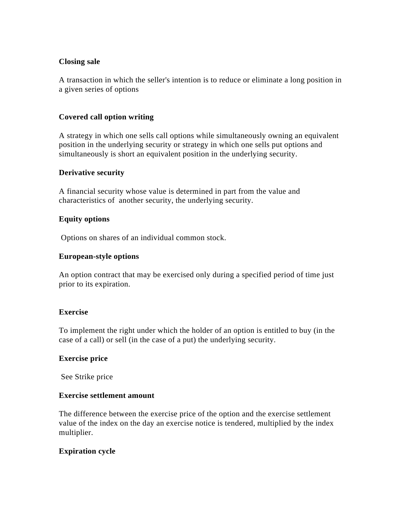#### **Closing sale**

A transaction in which the seller's intention is to reduce or eliminate a long position in a given series of options

#### **Covered call option writing**

A strategy in which one sells call options while simultaneously owning an equivalent position in the underlying security or strategy in which one sells put options and simultaneously is short an equivalent position in the underlying security.

#### **Derivative security**

A financial security whose value is determined in part from the value and characteristics of another security, the underlying security.

#### **Equity options**

Options on shares of an individual common stock.

#### **European-style options**

An option contract that may be exercised only during a specified period of time just prior to its expiration.

#### **Exercise**

To implement the right under which the holder of an option is entitled to buy (in the case of a call) or sell (in the case of a put) the underlying security.

#### **Exercise price**

See Strike price

#### **Exercise settlement amount**

The difference between the exercise price of the option and the exercise settlement value of the index on the day an exercise notice is tendered, multiplied by the index multiplier.

## **Expiration cycle**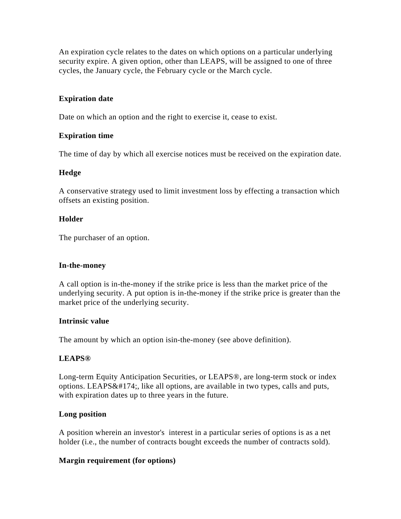An expiration cycle relates to the dates on which options on a particular underlying security expire. A given option, other than LEAPS, will be assigned to one of three cycles, the January cycle, the February cycle or the March cycle.

## **Expiration date**

Date on which an option and the right to exercise it, cease to exist.

## **Expiration time**

The time of day by which all exercise notices must be received on the expiration date.

## **Hedge**

A conservative strategy used to limit investment loss by effecting a transaction which offsets an existing position.

## **Holder**

The purchaser of an option.

## **In-the-money**

A call option is in-the-money if the strike price is less than the market price of the underlying security. A put option is in-the-money if the strike price is greater than the market price of the underlying security.

## **Intrinsic value**

The amount by which an option isin-the-money (see above definition).

## **LEAPS®**

Long-term Equity Anticipation Securities, or LEAPS®, are long-term stock or index options. LEAPS $&$ #174;, like all options, are available in two types, calls and puts, with expiration dates up to three years in the future.

## **Long position**

A position wherein an investor's interest in a particular series of options is as a net holder (i.e., the number of contracts bought exceeds the number of contracts sold).

## **Margin requirement (for options)**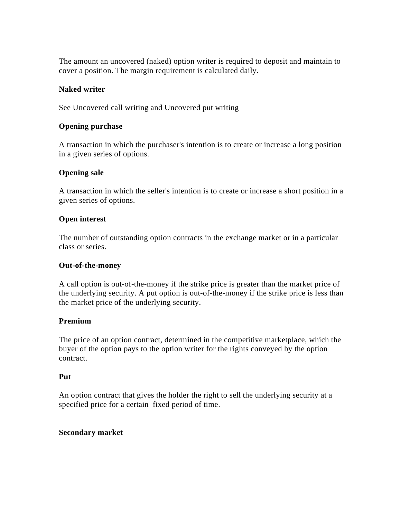The amount an uncovered (naked) option writer is required to deposit and maintain to cover a position. The margin requirement is calculated daily.

#### **Naked writer**

See Uncovered call writing and Uncovered put writing

#### **Opening purchase**

A transaction in which the purchaser's intention is to create or increase a long position in a given series of options.

#### **Opening sale**

A transaction in which the seller's intention is to create or increase a short position in a given series of options.

#### **Open interest**

The number of outstanding option contracts in the exchange market or in a particular class or series.

#### **Out-of-the-money**

A call option is out-of-the-money if the strike price is greater than the market price of the underlying security. A put option is out-of-the-money if the strike price is less than the market price of the underlying security.

## **Premium**

The price of an option contract, determined in the competitive marketplace, which the buyer of the option pays to the option writer for the rights conveyed by the option contract.

#### **Put**

An option contract that gives the holder the right to sell the underlying security at a specified price for a certain fixed period of time.

#### **Secondary market**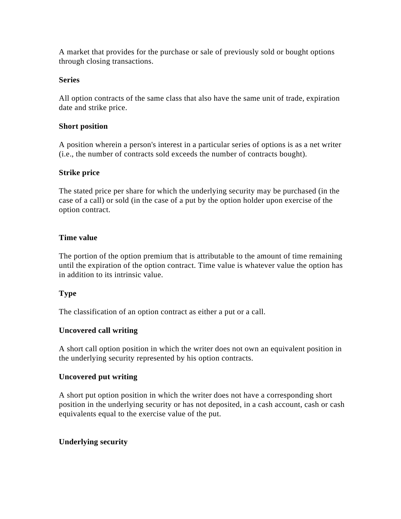A market that provides for the purchase or sale of previously sold or bought options through closing transactions.

## **Series**

All option contracts of the same class that also have the same unit of trade, expiration date and strike price.

## **Short position**

A position wherein a person's interest in a particular series of options is as a net writer (i.e., the number of contracts sold exceeds the number of contracts bought).

## **Strike price**

The stated price per share for which the underlying security may be purchased (in the case of a call) or sold (in the case of a put by the option holder upon exercise of the option contract.

## **Time value**

The portion of the option premium that is attributable to the amount of time remaining until the expiration of the option contract. Time value is whatever value the option has in addition to its intrinsic value.

# **Type**

The classification of an option contract as either a put or a call.

## **Uncovered call writing**

A short call option position in which the writer does not own an equivalent position in the underlying security represented by his option contracts.

## **Uncovered put writing**

A short put option position in which the writer does not have a corresponding short position in the underlying security or has not deposited, in a cash account, cash or cash equivalents equal to the exercise value of the put.

# **Underlying security**